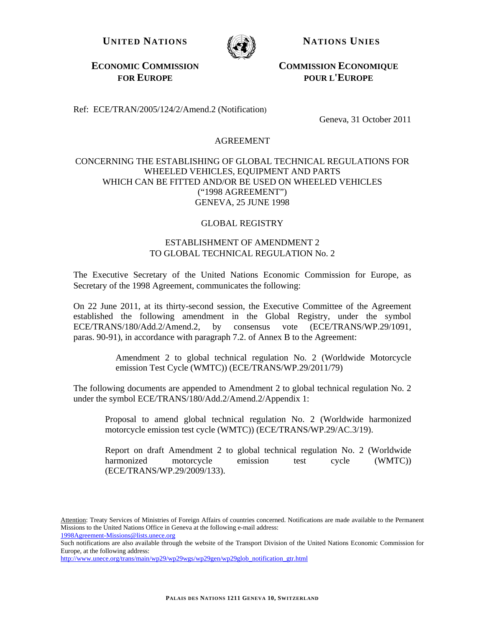UNITED NATIONS **NATIONS NATIONS** 



**ECONOMIC COMMISSION FOR EUROPE**

 **COMMISSION ECONOMIQUE POUR L'EUROPE**

Ref: ECE/TRAN/2005/124/2/Amend.2 (Notification)

Geneva, 31 October 2011

## AGREEMENT

## CONCERNING THE ESTABLISHING OF GLOBAL TECHNICAL REGULATIONS FOR WHEELED VEHICLES, EQUIPMENT AND PARTS WHICH CAN BE FITTED AND/OR BE USED ON WHEELED VEHICLES ("1998 AGREEMENT") GENEVA, 25 JUNE 1998

## GLOBAL REGISTRY

## ESTABLISHMENT OF AMENDMENT 2 TO GLOBAL TECHNICAL REGULATION No. 2

The Executive Secretary of the United Nations Economic Commission for Europe, as Secretary of the 1998 Agreement, communicates the following:

On 22 June 2011, at its thirty-second session, the Executive Committee of the Agreement established the following amendment in the Global Registry, under the symbol ECE/TRANS/180/Add.2/Amend.2, by consensus vote (ECE/TRANS/WP.29/1091, paras. 90-91), in accordance with paragraph 7.2. of Annex B to the Agreement:

> Amendment 2 to global technical regulation No. 2 (Worldwide Motorcycle emission Test Cycle (WMTC)) (ECE/TRANS/WP.29/2011/79)

The following documents are appended to Amendment 2 to global technical regulation No. 2 under the symbol ECE/TRANS/180/Add.2/Amend.2/Appendix 1:

Proposal to amend global technical regulation No. 2 (Worldwide harmonized motorcycle emission test cycle (WMTC)) (ECE/TRANS/WP.29/AC.3/19).

Report on draft Amendment 2 to global technical regulation No. 2 (Worldwide harmonized motorcycle emission test cycle (WMTC) (ECE/TRANS/WP.29/2009/133).

Attention: Treaty Services of Ministries of Foreign Affairs of countries concerned. Notifications are made available to the Permanent Missions to the United Nations Office in Geneva at the following e-mail address: 1998Agreement-Missions@lists.unece.org

Such notifications are also available through the website of the Transport Division of the United Nations Economic Commission for Europe, at the following address:

http://www.unece.org/trans/main/wp29/wp29wgs/wp29gen/wp29glob\_notification\_gtr.html